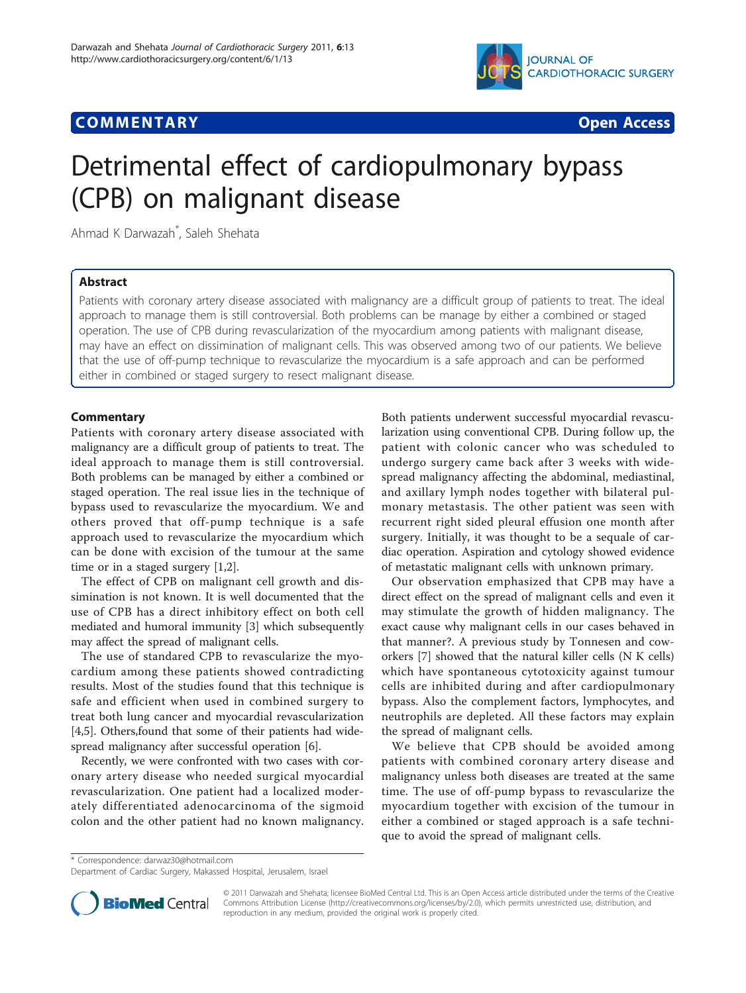

# **COMMENTARY COMMENTARY Open Access**



# Detrimental effect of cardiopulmonary bypass (CPB) on malignant disease

Ahmad K Darwazah\* , Saleh Shehata

## Abstract

Patients with coronary artery disease associated with malignancy are a difficult group of patients to treat. The ideal approach to manage them is still controversial. Both problems can be manage by either a combined or staged operation. The use of CPB during revascularization of the myocardium among patients with malignant disease, may have an effect on dissimination of malignant cells. This was observed among two of our patients. We believe that the use of off-pump technique to revascularize the myocardium is a safe approach and can be performed either in combined or staged surgery to resect malignant disease.

### **Commentary**

Patients with coronary artery disease associated with malignancy are a difficult group of patients to treat. The ideal approach to manage them is still controversial. Both problems can be managed by either a combined or staged operation. The real issue lies in the technique of bypass used to revascularize the myocardium. We and others proved that off-pump technique is a safe approach used to revascularize the myocardium which can be done with excision of the tumour at the same time or in a staged surgery [[1,2\]](#page-1-0).

The effect of CPB on malignant cell growth and dissimination is not known. It is well documented that the use of CPB has a direct inhibitory effect on both cell mediated and humoral immunity [\[3\]](#page-1-0) which subsequently may affect the spread of malignant cells.

The use of standared CPB to revascularize the myocardium among these patients showed contradicting results. Most of the studies found that this technique is safe and efficient when used in combined surgery to treat both lung cancer and myocardial revascularization [[4,5\]](#page-1-0). Others, found that some of their patients had widespread malignancy after successful operation [\[6](#page-1-0)].

Recently, we were confronted with two cases with coronary artery disease who needed surgical myocardial revascularization. One patient had a localized moderately differentiated adenocarcinoma of the sigmoid colon and the other patient had no known malignancy.

Both patients underwent successful myocardial revascularization using conventional CPB. During follow up, the patient with colonic cancer who was scheduled to undergo surgery came back after 3 weeks with widespread malignancy affecting the abdominal, mediastinal, and axillary lymph nodes together with bilateral pulmonary metastasis. The other patient was seen with recurrent right sided pleural effusion one month after surgery. Initially, it was thought to be a sequale of cardiac operation. Aspiration and cytology showed evidence of metastatic malignant cells with unknown primary.

Our observation emphasized that CPB may have a direct effect on the spread of malignant cells and even it may stimulate the growth of hidden malignancy. The exact cause why malignant cells in our cases behaved in that manner?. A previous study by Tonnesen and coworkers [[7\]](#page-1-0) showed that the natural killer cells (N K cells) which have spontaneous cytotoxicity against tumour cells are inhibited during and after cardiopulmonary bypass. Also the complement factors, lymphocytes, and neutrophils are depleted. All these factors may explain the spread of malignant cells.

We believe that CPB should be avoided among patients with combined coronary artery disease and malignancy unless both diseases are treated at the same time. The use of off-pump bypass to revascularize the myocardium together with excision of the tumour in either a combined or staged approach is a safe technique to avoid the spread of malignant cells.

\* Correspondence: [darwaz30@hotmail.com](mailto:darwaz30@hotmail.com)

Department of Cardiac Surgery, Makassed Hospital, Jerusalem, Israel



© 2011 Darwazah and Shehata; licensee BioMed Central Ltd. This is an Open Access article distributed under the terms of the Creative Commons Attribution License [\(http://creativecommons.org/licenses/by/2.0](http://creativecommons.org/licenses/by/2.0)), which permits unrestricted use, distribution, and reproduction in any medium, provided the original work is properly cited.